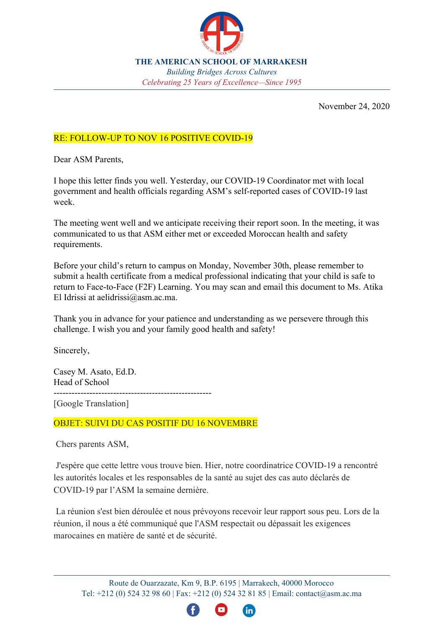

**THE AMERICAN SCHOOL OF MARRAKESH** *Building Bridges Across Cultures Celebrating 25 Years of Excellence—Since 1995*

November 24, 2020

## RE: FOLLOW-UP TO NOV 16 POSITIVE COVID-19

Dear ASM Parents,

I hope this letter finds you well. Yesterday, our COVID-19 Coordinator met with local government and health officials regarding ASM's self-reported cases of COVID-19 last week.

The meeting went well and we anticipate receiving their report soon. In the meeting, it was communicated to us that ASM either met or exceeded Moroccan health and safety requirements.

Before your child's return to campus on Monday, November 30th, please remember to submit a health certificate from a medical professional indicating that your child is safe to return to Face-to-Face (F2F) Learning. You may scan and email this document to Ms. Atika El Idrissi at aelidrissi@asm.ac.ma.

Thank you in advance for your patience and understanding as we persevere through this challenge. I wish you and your family good health and safety!

Sincerely,

Casey M. Asato, Ed.D. Head of School

-----------------------------------------------------

[Google Translation]

OBJET: SUIVI DU CAS POSITIF DU 16 NOVEMBRE

Chers parents ASM,

 J'espère que cette lettre vous trouve bien. Hier, notre coordinatrice COVID-19 a rencontré les autorités locales et les responsables de la santé au sujet des cas auto déclarés de COVID-19 par l'ASM la semaine dernière.

 La réunion s'est bien déroulée et nous prévoyons recevoir leur rapport sous peu. Lors de la réunion, il nous a été communiqué que l'ASM respectait ou dépassait les exigences marocaines en matière de santé et de sécurité.